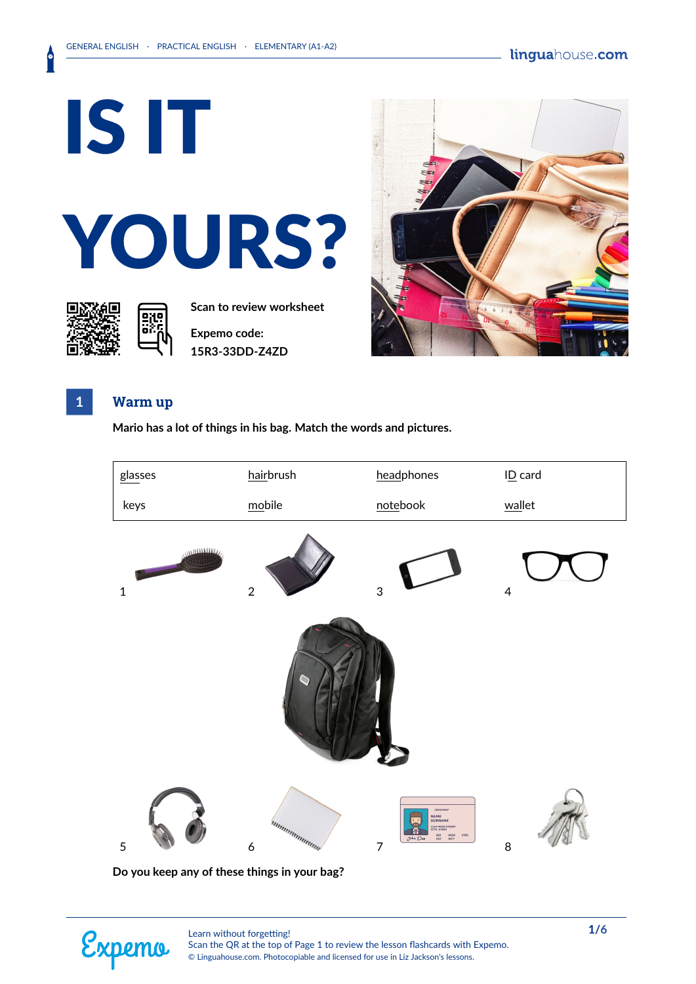IS IT YOURS?



**Scan to review worksheet** 

**Expemo code: 15R3-33DD-Z4ZD**



### **1 Warm up**

**Mario has a lot of things in his bag. Match the words and pictures.**



**Do you keep any of these things in your bag?**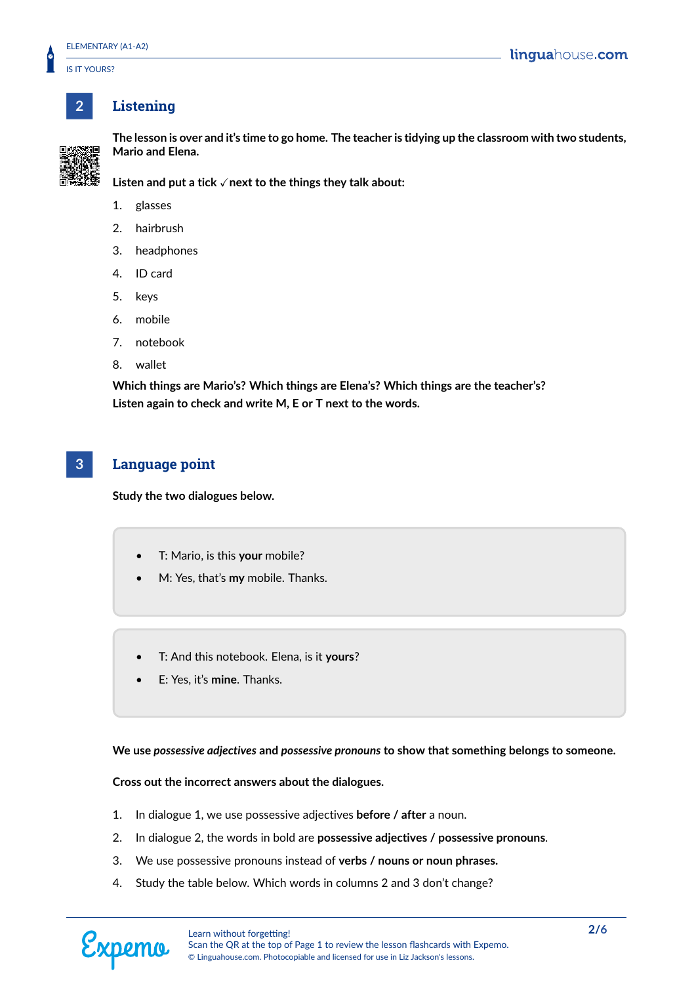IS IT YOURS?

## **2 Listening**



**The lesson is over and it's time to go home. The teacher is tidying up the classroom with two students, Mario and Elena.**

**Listen and put a tick √ next to the things they talk about:** 

- 1. glasses
- 2. hairbrush
- 3. headphones
- 4. ID card
- 5. keys
- 6. mobile
- 7. notebook
- 8. wallet

**Which things are Mario's? Which things are Elena's? Which things are the teacher's? Listen again to check and write M, E or T next to the words.**

## **3 Language point**

**Study the two dialogues below.**

- T: Mario, is this **your** mobile?
- M: Yes, that's **my** mobile. Thanks.
- T: And this notebook. Elena, is it **yours**?
- E: Yes, it's **mine**. Thanks.

**We use** *possessive adjectives* **and** *possessive pronouns* **to show that something belongs to someone.**

**Cross out the incorrect answers about the dialogues.**

- 1. In dialogue 1, we use possessive adjectives **before / after** a noun.
- 2. In dialogue 2, the words in bold are **possessive adjectives / possessive pronouns**.
- 3. We use possessive pronouns instead of **verbs / nouns or noun phrases.**
- 4. Study the table below. Which words in columns 2 and 3 don't change?

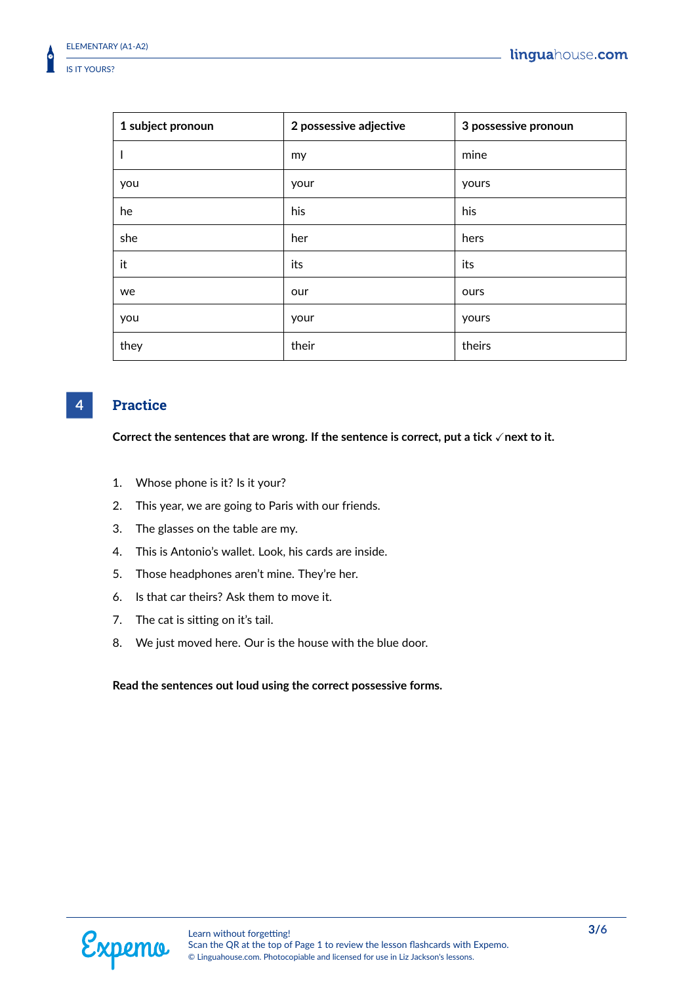| 1 subject pronoun | 2 possessive adjective | 3 possessive pronoun |
|-------------------|------------------------|----------------------|
| $\mathsf{l}$      | my                     | mine                 |
| you               | your                   | yours                |
| he                | his                    | his                  |
| she               | her                    | hers                 |
| it                | its                    | its                  |
| we                | our                    | ours                 |
| you               | your                   | yours                |
| they              | their                  | theirs               |

## **4 Practice**

Correct the sentences that are wrong. If the sentence is correct, put a tick √next to it.

- 1. Whose phone is it? Is it your?
- 2. This year, we are going to Paris with our friends.
- 3. The glasses on the table are my.
- 4. This is Antonio's wallet. Look, his cards are inside.
- 5. Those headphones aren't mine. They're her.
- 6. Is that car theirs? Ask them to move it.
- 7. The cat is sitting on it's tail.
- 8. We just moved here. Our is the house with the blue door.

#### **Read the sentences out loud using the correct possessive forms.**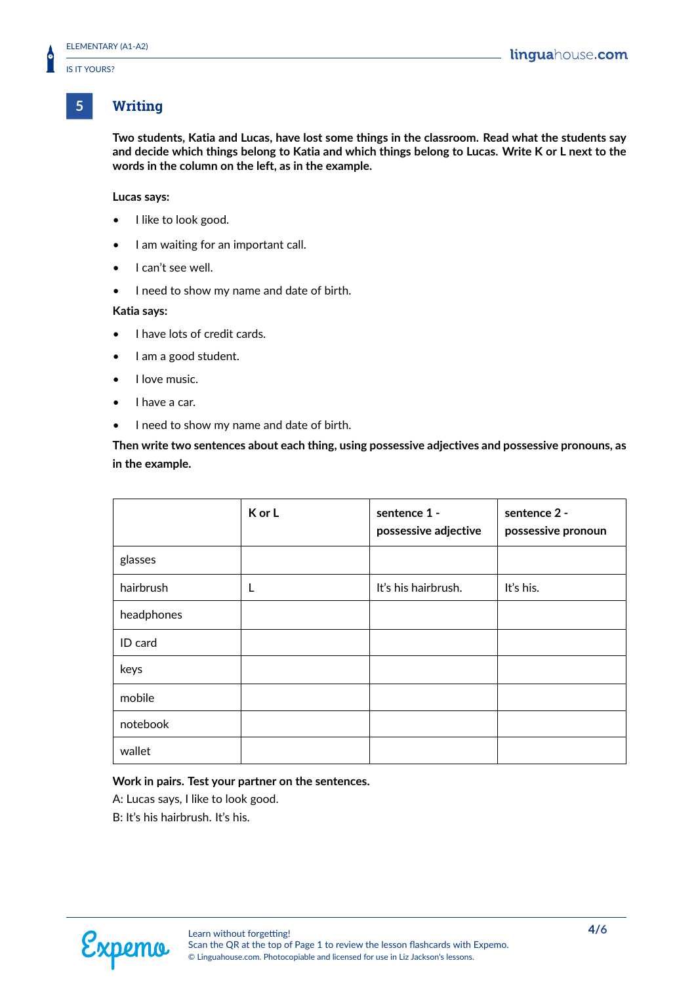### **5 Writing**

**Two students, Katia and Lucas, have lost some things in the classroom. Read what the students say and decide which things belong to Katia and which things belong to Lucas. Write K or L next to the words in the column on the left, as in the example.**

#### **Lucas says:**

- I like to look good.
- I am waiting for an important call.
- I can't see well.
- I need to show my name and date of birth.

#### **Katia says:**

- I have lots of credit cards.
- I am a good student.
- I love music.
- I have a car.
- I need to show my name and date of birth.

**Then write two sentences about each thing, using possessive adjectives and possessive pronouns, as in the example.**

|            | K or L | sentence 1 -<br>possessive adjective | sentence 2 -<br>possessive pronoun |
|------------|--------|--------------------------------------|------------------------------------|
| glasses    |        |                                      |                                    |
| hairbrush  | L      | It's his hairbrush.                  | It's his.                          |
| headphones |        |                                      |                                    |
| ID card    |        |                                      |                                    |
| keys       |        |                                      |                                    |
| mobile     |        |                                      |                                    |
| notebook   |        |                                      |                                    |
| wallet     |        |                                      |                                    |

#### **Work in pairs. Test your partner on the sentences.**

A: Lucas says, I like to look good.

B: It's his hairbrush. It's his.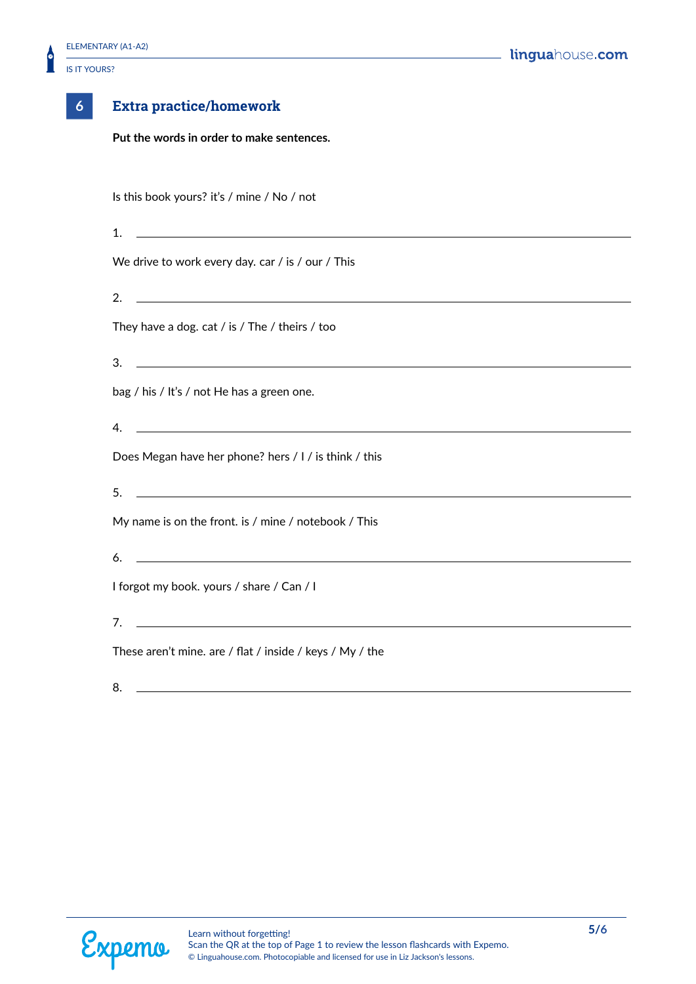

| Extra pr |  |
|----------|--|

# **6 Extra practice/homework**

**Put the words in order to make sentences.**

| Is this book yours? it's / mine / No / not                                                                                   |
|------------------------------------------------------------------------------------------------------------------------------|
| <u> 1980 - Johann Stoff, amerikansk politiker (d. 1980)</u><br>1.                                                            |
| We drive to work every day. car / is / our / This                                                                            |
| <u> 1989 - Johann Stoff, deutscher Stoffen und der Stoffen und der Stoffen und der Stoffen und der Stoffen und der</u><br>2. |
| They have a dog. cat / is / The / theirs / too                                                                               |
| 3.<br><u> 1989 - Johann Stoff, amerikansk politiker (d. 1989)</u>                                                            |
| bag / his / It's / not He has a green one.                                                                                   |
| <u> 1989 - Johann Stoff, amerikansk politiker (d. 1989)</u><br>4.                                                            |
| Does Megan have her phone? hers / I / is think / this                                                                        |
| <u> 1989 - Andrea Stadt Britain, amerikansk politiker (</u><br>5 <sub>1</sub>                                                |
| My name is on the front. is / mine / notebook / This                                                                         |
| <u> 1980 - Johann Barn, fransk politik (f. 1980)</u><br>6.                                                                   |
| I forgot my book. yours / share / Can / I                                                                                    |
| $7.$ $\overline{\phantom{a}}$                                                                                                |
| These aren't mine. are / flat / inside / keys / My / the                                                                     |
| 8.                                                                                                                           |